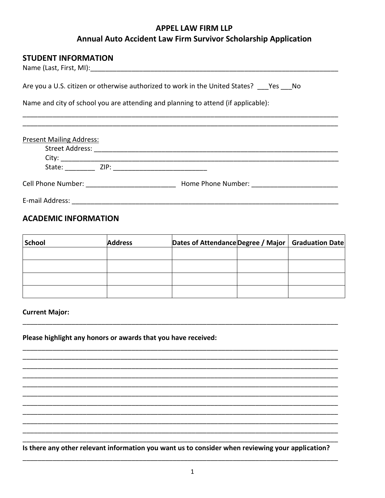# **APPEL LAW FIRM LLP** Annual Auto Accident Law Firm Survivor Scholarship Application

## **STUDENT INFORMATION**

| Are you a U.S. citizen or otherwise authorized to work in the United States? Yes No                                                                                                                                            |  |  |  |  |  |
|--------------------------------------------------------------------------------------------------------------------------------------------------------------------------------------------------------------------------------|--|--|--|--|--|
| Name and city of school you are attending and planning to attend (if applicable):                                                                                                                                              |  |  |  |  |  |
|                                                                                                                                                                                                                                |  |  |  |  |  |
| <b>Present Mailing Address:</b>                                                                                                                                                                                                |  |  |  |  |  |
|                                                                                                                                                                                                                                |  |  |  |  |  |
|                                                                                                                                                                                                                                |  |  |  |  |  |
|                                                                                                                                                                                                                                |  |  |  |  |  |
| Cell Phone Number: The Contract of the Contract of the Contract of the Contract of the Contract of the Contract of the Contract of the Contract of the Contract of the Contract of the Contract of the Contract of the Contrac |  |  |  |  |  |
| E-mail Address:                                                                                                                                                                                                                |  |  |  |  |  |

# **ACADEMIC INFORMATION**

| School | <b>Address</b> | Dates of Attendance Degree / Major   Graduation Date |  |
|--------|----------------|------------------------------------------------------|--|
|        |                |                                                      |  |
|        |                |                                                      |  |
|        |                |                                                      |  |
|        |                |                                                      |  |

**Current Major:** 

### Please highlight any honors or awards that you have received:

Is there any other relevant information you want us to consider when reviewing your application?